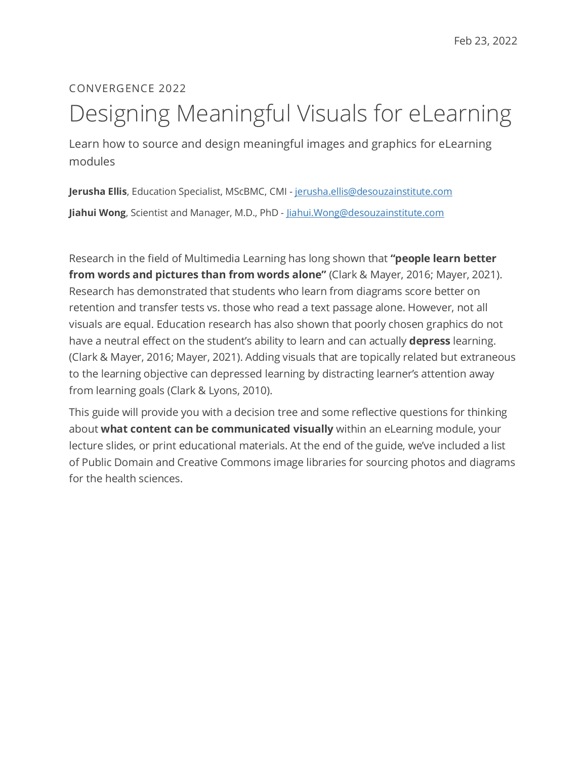## CONVERGENCE 2022 Designing Meaningful Visuals for eLearning

Learn how to source and design meaningful images and graphics for eLearning modules

**Jerusha Ellis**, Education Specialist, MScBMC, CMI - [jerusha.ellis@desouzainstitute.com](mailto:jerusha.ellis@desouzainstitute.com) **Jiahui Wong**, Scientist and Manager, M.D., PhD - [Jiahui.Wong@desouzainstitute.com](mailto:Jiahui.Wong@desouzainstitute.com)

Research in the field of Multimedia Learning has long shown that **"people learn better from words and pictures than from words alone"** (Clark & Mayer, 2016; Mayer, 2021). Research has demonstrated that students who learn from diagrams score better on retention and transfer tests vs. those who read a text passage alone. However, not all visuals are equal. Education research has also shown that poorly chosen graphics do not have a neutral effect on the student's ability to learn and can actually **depress** learning. (Clark & Mayer, 2016; Mayer, 2021). Adding visuals that are topically related but extraneous to the learning objective can depressed learning by distracting learner's attention away from learning goals (Clark & Lyons, 2010).

This guide will provide you with a decision tree and some reflective questions for thinking about **what content can be communicated visually** within an eLearning module, your lecture slides, or print educational materials. At the end of the guide, we've included a list of Public Domain and Creative Commons image libraries for sourcing photos and diagrams for the health sciences.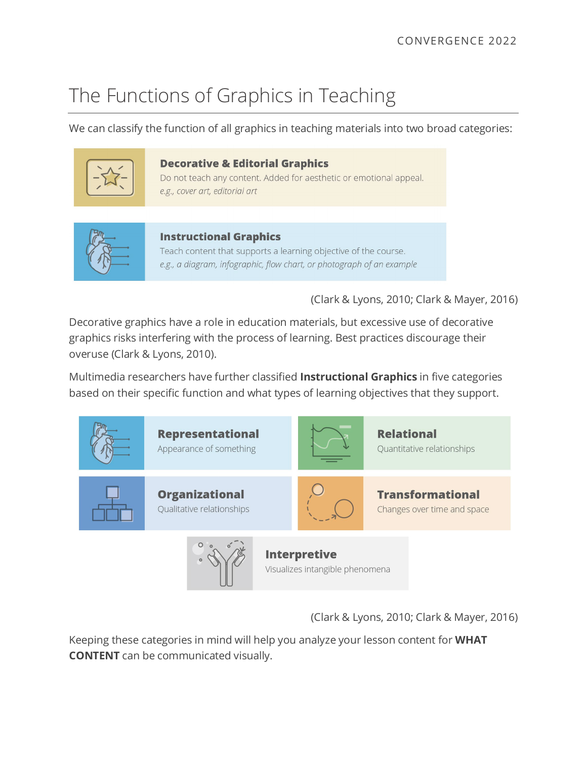## The Functions of Graphics in Teaching

We can classify the function of all graphics in teaching materials into two broad categories:



#### **Decorative & Editorial Graphics**

Do not teach any content. Added for aesthetic or emotional appeal. e.g., cover art, editorial art



#### **Instructional Graphics**

Teach content that supports a learning objective of the course. e.g., a diagram, infographic, flow chart, or photograph of an example

(Clark & Lyons, 2010; Clark & Mayer, 2016)

Decorative graphics have a role in education materials, but excessive use of decorative graphics risks interfering with the process of learning. Best practices discourage their overuse (Clark & Lyons, 2010).

Multimedia researchers have further classified **Instructional Graphics** in five categories based on their specific function and what types of learning objectives that they support.



(Clark & Lyons, 2010; Clark & Mayer, 2016)

Keeping these categories in mind will help you analyze your lesson content for **WHAT CONTENT** can be communicated visually.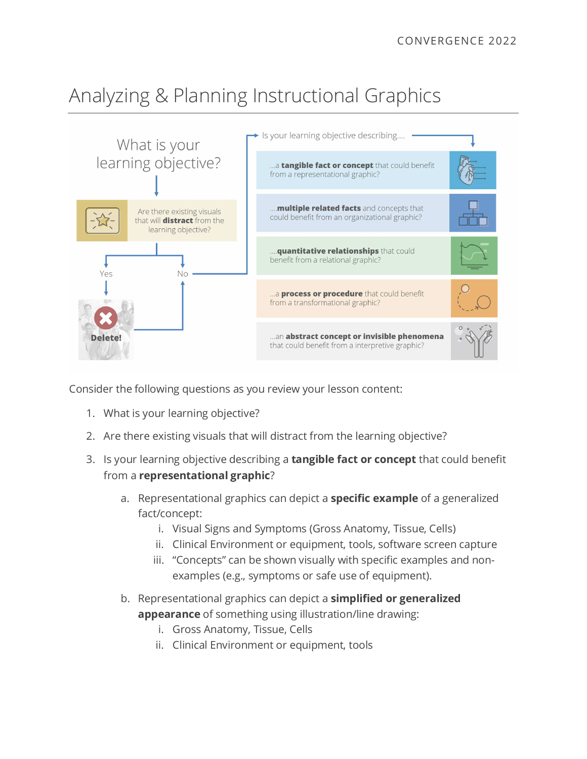# Analyzing & Planning Instructional Graphics



Consider the following questions as you review your lesson content:

- 1. What is your learning objective?
- 2. Are there existing visuals that will distract from the learning objective?
- 3. Is your learning objective describing a **tangible fact or concept** that could benefit from a **representational graphic**?
	- a. Representational graphics can depict a **specific example** of a generalized fact/concept:
		- i. Visual Signs and Symptoms (Gross Anatomy, Tissue, Cells)
		- ii. Clinical Environment or equipment, tools, software screen capture
		- iii. "Concepts" can be shown visually with specific examples and nonexamples (e.g., symptoms or safe use of equipment).
	- b. Representational graphics can depict a **simplified or generalized** 
		- **appearance** of something using illustration/line drawing:
			- i. Gross Anatomy, Tissue, Cells
			- ii. Clinical Environment or equipment, tools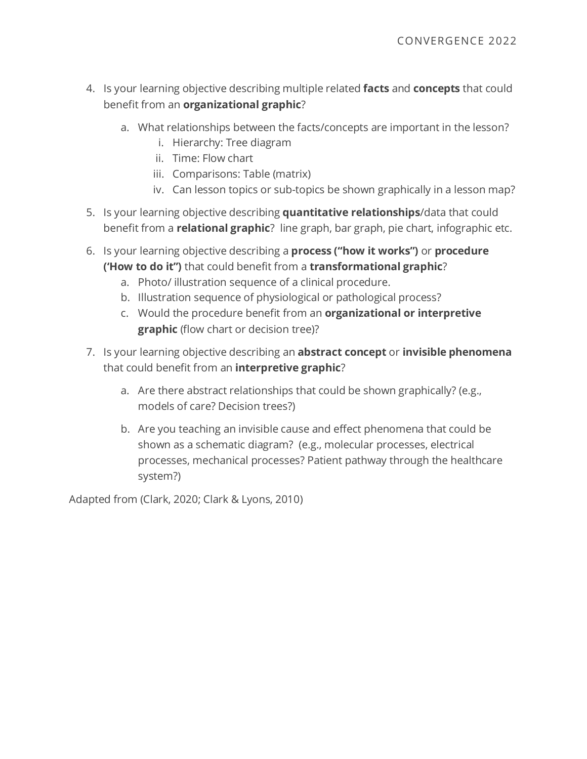- 4. Is your learning objective describing multiple related **facts** and **concepts** that could benefit from an **organizational graphic**?
	- a. What relationships between the facts/concepts are important in the lesson?
		- i. Hierarchy: Tree diagram
		- ii. Time: Flow chart
		- iii. Comparisons: Table (matrix)
		- iv. Can lesson topics or sub-topics be shown graphically in a lesson map?
- 5. Is your learning objective describing **quantitative relationships**/data that could benefit from a **relational graphic**? line graph, bar graph, pie chart, infographic etc.
- 6. Is your learning objective describing a **process ("how it works")** or **procedure ('How to do it")** that could benefit from a **transformational graphic**?
	- a. Photo/ illustration sequence of a clinical procedure.
	- b. Illustration sequence of physiological or pathological process?
	- c. Would the procedure benefit from an **organizational or interpretive graphic** (flow chart or decision tree)?
- 7. Is your learning objective describing an **abstract concept** or **invisible phenomena**  that could benefit from an **interpretive graphic**?
	- a. Are there abstract relationships that could be shown graphically? (e.g., models of care? Decision trees?)
	- b. Are you teaching an invisible cause and effect phenomena that could be shown as a schematic diagram? (e.g., molecular processes, electrical processes, mechanical processes? Patient pathway through the healthcare system?)

Adapted from (Clark, 2020; Clark & Lyons, 2010)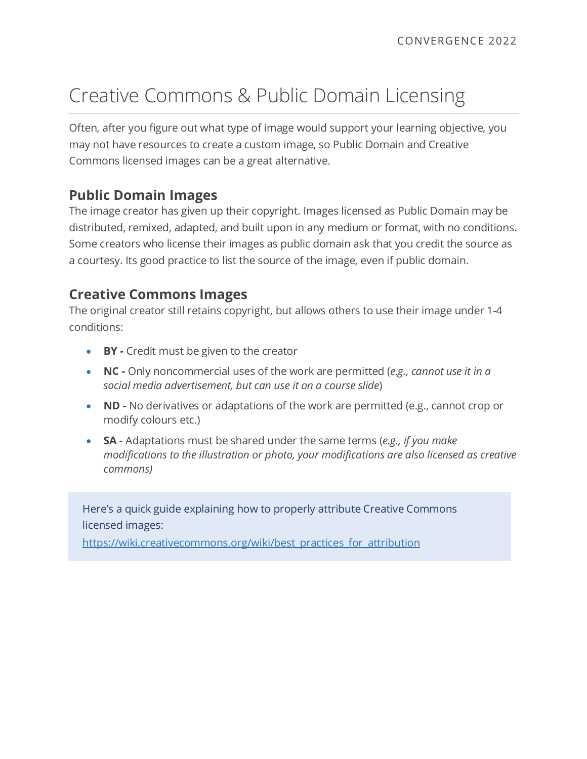## Creative Commons & Public Domain Licensing

Often, after you figure out what type of image would support your learning objective, you may not have resources to create a custom image, so Public Domain and Creative Commons licensed images can be a great alternative.

### **Public Domain Images**

The image creator has given up their copyright. Images licensed as Public Domain may be distributed, remixed, adapted, and built upon in any medium or format, with no conditions. Some creators who license their images as public domain ask that you credit the source as a courtesy. Its good practice to list the source of the image, even if public domain.

### **Creative Commons Images**

The original creator still retains copyright, but allows others to use their image under 1-4 conditions:

- **BY -** Credit must be given to the creator
- **NC -** Only noncommercial uses of the work are permitted (*e.g., cannot use it in a social media advertisement, but can use it on a course slide*)
- **ND -** No derivatives or adaptations of the work are permitted (e.g., cannot crop or modify colours etc.)
- **SA -** Adaptations must be shared under the same terms (*e.g., if you make modifications to the illustration or photo, your modifications are also licensed as creative commons)*

Here's a quick guide explaining how to properly attribute Creative Commons licensed images:

[https://wiki.creativecommons.org/wiki/best\\_practices\\_for\\_attribution](https://wiki.creativecommons.org/wiki/best_practices_for_attribution)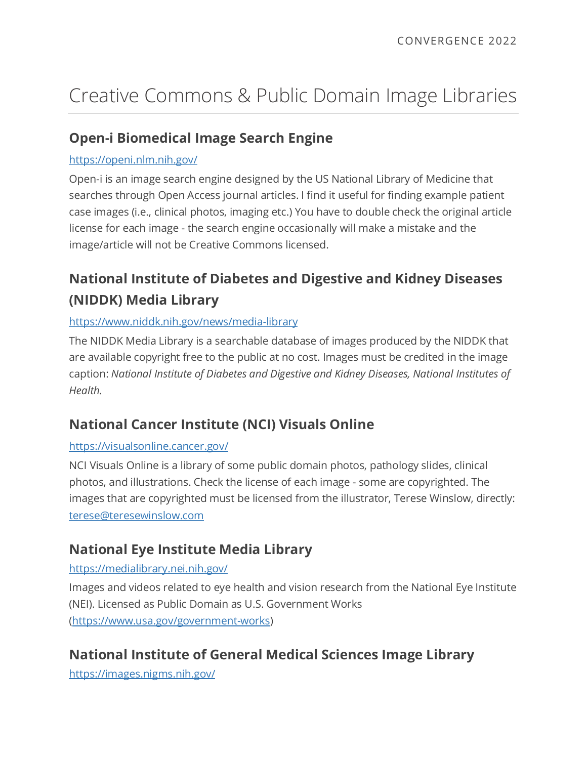# Creative Commons & Public Domain Image Libraries

## **Open-i Biomedical Image Search Engine**

#### <https://openi.nlm.nih.gov/>

Open-i is an image search engine designed by the US National Library of Medicine that searches through Open Access journal articles. I find it useful for finding example patient case images (i.e., clinical photos, imaging etc.) You have to double check the original article license for each image - the search engine occasionally will make a mistake and the image/article will not be Creative Commons licensed.

## **National Institute of Diabetes and Digestive and Kidney Diseases (NIDDK) Media Library**

#### <https://www.niddk.nih.gov/news/media-library>

The NIDDK Media Library is a searchable database of images produced by the NIDDK that are available copyright free to the public at no cost. Images must be credited in the image caption: *National Institute of Diabetes and Digestive and Kidney Diseases, National Institutes of Health.*

## **National Cancer Institute (NCI) Visuals Online**

#### <https://visualsonline.cancer.gov/>

NCI Visuals Online is a library of some public domain photos, pathology slides, clinical photos, and illustrations. Check the license of each image - some are copyrighted. The images that are copyrighted must be licensed from the illustrator, Terese Winslow, directly: [terese@teresewinslow.com](mailto:terese@teresewinslow.com)

## **National Eye Institute Media Library**

#### <https://medialibrary.nei.nih.gov/>

Images and videos related to eye health and vision research from the National Eye Institute (NEI). Licensed as Public Domain as U.S. Government Works [\(https://www.usa.gov/government-works\)](https://www.usa.gov/government-works)

## **National Institute of General Medical Sciences Image Library**

<https://images.nigms.nih.gov/>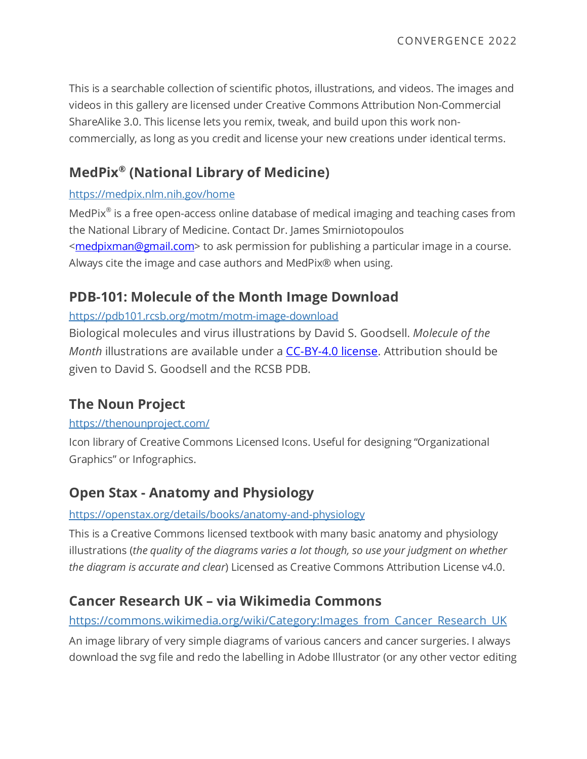This is a searchable collection of scientific photos, illustrations, and videos. The images and videos in this gallery are licensed under Creative Commons Attribution Non-Commercial ShareAlike 3.0. This license lets you remix, tweak, and build upon this work noncommercially, as long as you credit and license your new creations under identical terms.

## **MedPix® (National Library of Medicine)**

#### <https://medpix.nlm.nih.gov/home>

MedPix® is a free open-access online database of medical imaging and teaching cases from the National Library of Medicine. Contact Dr. James Smirniotopoulos [<medpixman@gmail.com>](mailto:medpixman@gmail.com) to ask permission for publishing a particular image in a course. Always cite the image and case authors and MedPix® when using.

## **PDB-101: Molecule of the Month Image Download**

#### <https://pdb101.rcsb.org/motm/motm-image-download>

Biological molecules and virus illustrations by David S. Goodsell. *Molecule of the Month* illustrations are available under a [CC-BY-4.0 license.](https://creativecommons.org/licenses/by/4.0/) Attribution should be given to David S. Goodsell and the RCSB PDB.

## **The Noun Project**

#### <https://thenounproject.com/>

Icon library of Creative Commons Licensed Icons. Useful for designing "Organizational Graphics" or Infographics.

## **Open Stax - Anatomy and Physiology**

#### <https://openstax.org/details/books/anatomy-and-physiology>

This is a Creative Commons licensed textbook with many basic anatomy and physiology illustrations (*the quality of the diagrams varies a lot though, so use your judgment on whether the diagram is accurate and clear*) Licensed as Creative Commons Attribution License v4.0.

## **[Cancer Research UK –](https://commons.wikimedia.org/wiki/Category:Images_from_Cancer_Research_UK) via Wikimedia Commons**

#### [https://commons.wikimedia.org/wiki/Category:Images\\_from\\_Cancer\\_Research\\_UK](https://commons.wikimedia.org/wiki/Category:Images_from_Cancer_Research_UK)

An image library of very simple diagrams of various cancers and cancer surgeries. I always download the svg file and redo the labelling in Adobe Illustrator (or any other vector editing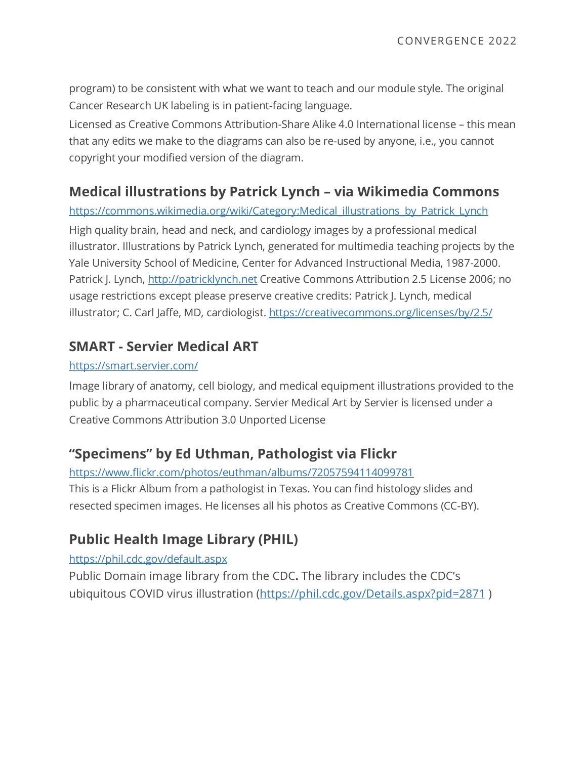program) to be consistent with what we want to teach and our module style. The original Cancer Research UK labeling is in patient-facing language.

Licensed as Creative Commons Attribution-Share Alike 4.0 International license – this mean that any edits we make to the diagrams can also be re-used by anyone, i.e., you cannot copyright your modified version of the diagram.

### **[Medical illustrations by Patrick Lynch](https://commons.wikimedia.org/wiki/Category:Images_from_Cancer_Research_UK) – via Wikimedia Commons**

[https://commons.wikimedia.org/wiki/Category:Medical\\_illustrations\\_by\\_Patrick\\_Lynch](https://commons.wikimedia.org/wiki/Category:Medical_illustrations_by_Patrick_Lynch)

High quality brain, head and neck, and cardiology images by a professional medical illustrator. Illustrations by Patrick Lynch, generated for multimedia teaching projects by the Yale University School of Medicine, Center for Advanced Instructional Media, 1987-2000. Patrick J. Lynch, [http://patricklynch.net](http://patricklynch.net/) Creative Commons Attribution 2.5 License 2006; no usage restrictions except please preserve creative credits: Patrick J. Lynch, medical illustrator; C. Carl Jaffe, MD, cardiologist.<https://creativecommons.org/licenses/by/2.5/>

### **SMART - Servier Medical ART**

#### <https://smart.servier.com/>

Image library of anatomy, cell biology, and medical equipment illustrations provided to the public by a pharmaceutical company. Servier Medical Art by Servier is licensed under a Creative Commons Attribution 3.0 Unported License

## **"Specimens" by Ed Uthman, Pathologist via Flickr**

<https://www.flickr.com/photos/euthman/albums/72057594114099781> This is a Flickr Album from a pathologist in Texas. You can find histology slides and resected specimen images. He licenses all his photos as Creative Commons (CC-BY).

## **Public Health Image Library (PHIL)**

#### <https://phil.cdc.gov/default.aspx>

Public Domain image library from the CDC**.** The library includes the CDC's ubiquitous COVID virus illustration [\(https://phil.cdc.gov/Details.aspx?pid=2871](https://phil.cdc.gov/Details.aspx?pid=2871))